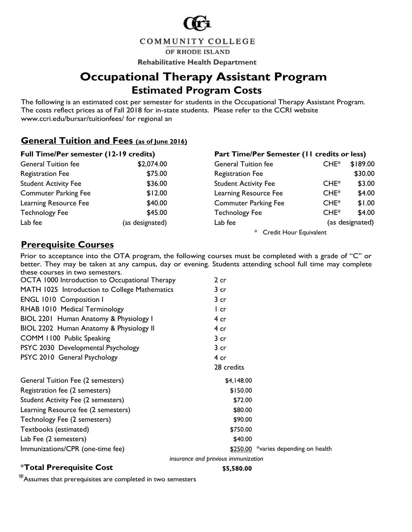

COMMUNITY COLLEGE

OF RHODE ISLAND

**Rehabilitative Health Department**

## **Occupational Therapy Assistant Program Estimated Program Costs**

#### **General Tuition and Fees (as of June 2016)**

|                                                  |                 | <b>Occupational Therapy Assistant Program</b><br><b>Estimated Program Costs</b>                                                                                                                                 |         |                 |
|--------------------------------------------------|-----------------|-----------------------------------------------------------------------------------------------------------------------------------------------------------------------------------------------------------------|---------|-----------------|
| www.ccri.edu/bursar/tuitionfees/ for regional an |                 | The following is an estimated cost per semester for students in the Occupational Therapy Assistant Program.<br>The costs reflect prices as of Fall 2018 for in-state students. Please refer to the CCRI website |         |                 |
| General Tuition and Fees (as of June 2016)       |                 |                                                                                                                                                                                                                 |         |                 |
| Full Time/Per semester (12-19 credits)           |                 | Part Time/Per Semester (11 credits or less)                                                                                                                                                                     |         |                 |
| <b>General Tuition fee</b>                       | \$2,074.00      | <b>General Tuition fee</b>                                                                                                                                                                                      | $CHE^*$ | \$189.00        |
| <b>Registration Fee</b>                          | \$75.00         | <b>Registration Fee</b>                                                                                                                                                                                         |         | \$30.00         |
| <b>Student Activity Fee</b>                      | \$36.00         | <b>Student Activity Fee</b>                                                                                                                                                                                     | $CHE^*$ | \$3.00          |
| <b>Commuter Parking Fee</b>                      | \$12.00         | Learning Resource Fee                                                                                                                                                                                           | $CHE^*$ | \$4.00          |
| Learning Resource Fee                            | \$40.00         | <b>Commuter Parking Fee</b>                                                                                                                                                                                     | $CHE^*$ | \$1.00          |
| <b>Technology Fee</b>                            | \$45.00         | <b>Technology Fee</b>                                                                                                                                                                                           | $CHE^*$ | \$4.00          |
| Lab fee                                          | (as designated) | Lab fee                                                                                                                                                                                                         |         | (as designated) |
|                                                  |                 | * Credit Hour Equivalent                                                                                                                                                                                        |         |                 |

#### **Prerequisite Courses**

Prior to acceptance into the OTA program, the following courses must be completed with a grade of "C" or better. They may be taken at any campus, day or evening. Students attending school full time may complete these courses in two semesters.

| OCTA 1000 Introduction to Occupational Therapy | 2 cr                                |                                      |
|------------------------------------------------|-------------------------------------|--------------------------------------|
| MATH 1025 Introduction to College Mathematics  | 3 cr                                |                                      |
| <b>ENGL 1010 Composition I</b>                 | 3 cr                                |                                      |
| RHAB 1010 Medical Terminology                  | l cr                                |                                      |
| BIOL 2201 Human Anatomy & Physiology I         | 4 cr                                |                                      |
| BIOL 2202 Human Anatomy & Physiology II        | 4 cr                                |                                      |
| COMM 1100 Public Speaking                      | $3$ cr                              |                                      |
| PSYC 2030 Developmental Psychology             | $3$ cr                              |                                      |
| PSYC 2010 General Psychology                   | 4 cr                                |                                      |
|                                                | 28 credits                          |                                      |
| General Tuition Fee (2 semesters)              | \$4,148.00                          |                                      |
| Registration fee (2 semesters)                 | \$150.00                            |                                      |
| <b>Student Activity Fee (2 semesters)</b>      | \$72.00                             |                                      |
| Learning Resource fee (2 semesters)            | \$80.00                             |                                      |
| Technology Fee (2 semesters)                   | \$90.00                             |                                      |
| Textbooks (estimated)                          | \$750.00                            |                                      |
| Lab Fee (2 semesters)                          | \$40.00                             |                                      |
| Immunizations/CPR (one-time fee)               |                                     | \$250.00 *varies depending on health |
|                                                | insurance and previous immunization |                                      |

#### \***Total Prerequisite Cost \$5,580.00**

\*Assumes that prerequisites are completed in two semesters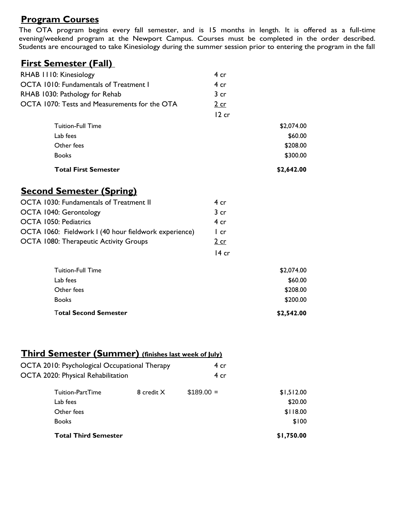## **Program Courses**

The OTA program begins every fall semester, and is 15 months in length. It is offered as a full-time evening/weekend program at the Newport Campus. Courses must be completed in the order described. Students are encouraged to take Kinesiology during the summer session prior to entering the program in the fall

#### **First Semester (Fall)**

| RHAB 1110: Kinesiology                                | 4 cr            |            |
|-------------------------------------------------------|-----------------|------------|
| OCTA 1010: Fundamentals of Treatment I                | 4cr             |            |
| RHAB 1030: Pathology for Rehab                        | 3 <sub>cr</sub> |            |
| OCTA 1070: Tests and Measurements for the OTA         | $2$ cr          |            |
|                                                       | 12 cr           |            |
| <b>Tuition-Full Time</b>                              |                 | \$2,074.00 |
| Lab fees                                              |                 | \$60.00    |
| Other fees                                            |                 | \$208.00   |
| <b>Books</b>                                          |                 | \$300.00   |
| <b>Total First Semester</b>                           |                 | \$2,642.00 |
| <b>Second Semester (Spring)</b>                       |                 |            |
| OCTA 1030: Fundamentals of Treatment II               | 4cr             |            |
| OCTA 1040: Gerontology                                | 3 <sub>cr</sub> |            |
| <b>OCTA 1050: Pediatrics</b>                          | 4 cr            |            |
| OCTA 1060: Fieldwork I (40 hour fieldwork experience) | $l$ cr          |            |
| OCTA 1080: Therapeutic Activity Groups                | $2$ cr          |            |
|                                                       | $14$ cr         |            |
| <b>Tuition-Full Time</b>                              |                 | \$2,074.00 |
| Lab fees                                              |                 | \$60.00    |
| Other fees                                            |                 | \$208.00   |
| <b>Books</b>                                          |                 | \$200.00   |
| <b>Total Second Semester</b>                          |                 | \$2,542.00 |
|                                                       |                 |            |

## **Third Semester (Summer) (finishes last week of July)**

| OCTA 2010: Psychological Occupational Therapy |                                    |            | 4 cr        |            |
|-----------------------------------------------|------------------------------------|------------|-------------|------------|
|                                               | OCTA 2020: Physical Rehabilitation |            | 4 cr        |            |
|                                               | Tuition-PartTime                   | 8 credit X | $$189.00 =$ | \$1,512.00 |
|                                               | Lab fees                           |            |             | \$20.00    |
|                                               | Other fees                         |            |             | \$118.00   |
|                                               | <b>Books</b>                       |            |             | \$100      |
|                                               | <b>Total Third Semester</b>        |            |             | \$1,750.00 |